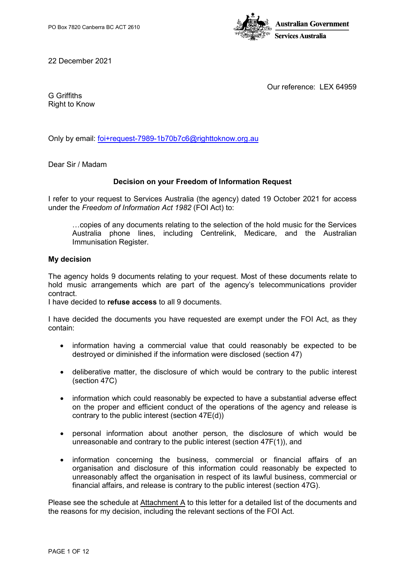

22 December 2021

Our reference: LEX 64959

G Griffiths Right to Know

Only by email: [foi+request-7989-1b70b7c6@righttoknow.org.au](mailto:xxxxxxxxxxxxxxxxxxxxxxxxx@xxxxxxxxxxx.xxx.xx)

Dear Sir / Madam

# **Decision on your Freedom of Information Request**

I refer to your request to Services Australia (the agency) dated 19 October 2021 for access under the *Freedom of Information Act 1982* (FOI Act) to:

…copies of any documents relating to the selection of the hold music for the Services Australia phone lines, including Centrelink, Medicare, and the Australian Immunisation Register.

## **My decision**

The agency holds 9 documents relating to your request. Most of these documents relate to hold music arrangements which are part of the agency's telecommunications provider contract.

I have decided to **refuse access** to all 9 documents.

I have decided the documents you have requested are exempt under the FOI Act, as they contain:

- information having a commercial value that could reasonably be expected to be destroyed or diminished if the information were disclosed (section 47)
- deliberative matter, the disclosure of which would be contrary to the public interest (section 47C)
- information which could reasonably be expected to have a substantial adverse effect on the proper and efficient conduct of the operations of the agency and release is contrary to the public interest (section 47E(d))
- personal information about another person, the disclosure of which would be unreasonable and contrary to the public interest (section 47F(1)), and
- information concerning the business, commercial or financial affairs of an organisation and disclosure of this information could reasonably be expected to unreasonably affect the organisation in respect of its lawful business, commercial or financial affairs, and release is contrary to the public interest (section 47G).

Please see the schedule at Attachment A to this letter for a detailed list of the documents and the reasons for my decision, including the relevant sections of the FOI Act.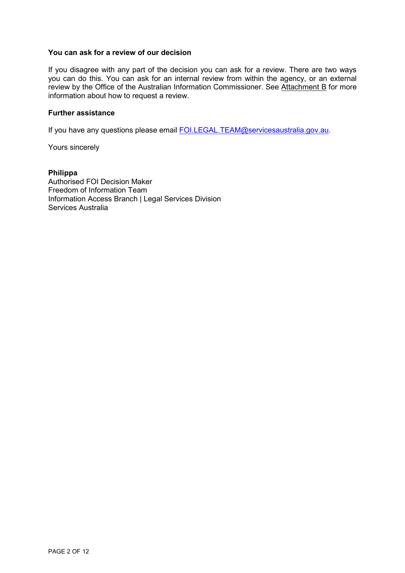#### **You can ask for a review of our decision**

If you disagree with any part of the decision you can ask for a review. There are two ways you can do this. You can ask for an internal review from within the agency, or an external review by the Office of the Australian Information Commissioner. See Attachment B for more information about how to request a review.

#### **Further assistance**

If you have any questions please email [FOI.LEGAL.TEAM@servicesaustralia.gov.au.](mailto:xxx.xxxxx.xxxx@xxxxxxxxxxxxxxxxx.xxx.xx)

Yours sincerely

**Philippa**  Authorised FOI Decision Maker Freedom of Information Team Information Access Branch | Legal Services Division Services Australia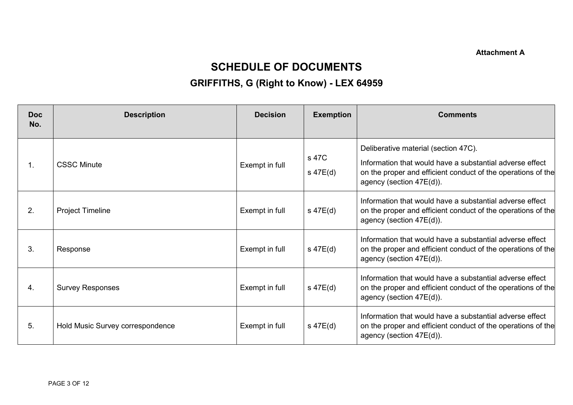**Attachment A**

# **SCHEDULE OF DOCUMENTS**

# **GRIFFITHS, G (Right to Know) - LEX 64959**

| <b>Doc</b><br>No. | <b>Description</b>               | <b>Decision</b> | <b>Exemption</b>       | <b>Comments</b>                                                                                                                                                                              |
|-------------------|----------------------------------|-----------------|------------------------|----------------------------------------------------------------------------------------------------------------------------------------------------------------------------------------------|
| $\mathbf{1}$ .    | <b>CSSC Minute</b>               | Exempt in full  | s 47C<br>$s$ 47 $E(d)$ | Deliberative material (section 47C).<br>Information that would have a substantial adverse effect<br>on the proper and efficient conduct of the operations of the<br>agency (section 47E(d)). |
| 2.                | <b>Project Timeline</b>          | Exempt in full  | s 47E(d)               | Information that would have a substantial adverse effect<br>on the proper and efficient conduct of the operations of the<br>agency (section 47E(d)).                                         |
| 3.                | Response                         | Exempt in full  | $s$ 47 $E(d)$          | Information that would have a substantial adverse effect<br>on the proper and efficient conduct of the operations of the<br>agency (section 47E(d)).                                         |
| 4.                | <b>Survey Responses</b>          | Exempt in full  | $s$ 47 $E(d)$          | Information that would have a substantial adverse effect<br>on the proper and efficient conduct of the operations of the<br>agency (section 47E(d)).                                         |
| 5.                | Hold Music Survey correspondence | Exempt in full  | $s$ 47 $E(d)$          | Information that would have a substantial adverse effect<br>on the proper and efficient conduct of the operations of the<br>agency (section 47E(d)).                                         |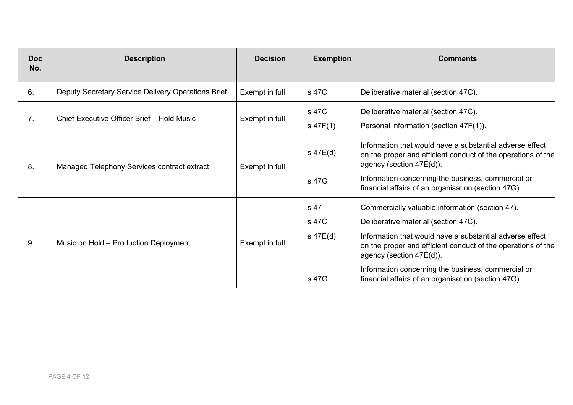| <b>Doc</b><br>No. | <b>Description</b>                                 | <b>Decision</b> | <b>Exemption</b>                   | <b>Comments</b>                                                                                                                                                                                                                                                                                                                                              |
|-------------------|----------------------------------------------------|-----------------|------------------------------------|--------------------------------------------------------------------------------------------------------------------------------------------------------------------------------------------------------------------------------------------------------------------------------------------------------------------------------------------------------------|
| 6.                | Deputy Secretary Service Delivery Operations Brief | Exempt in full  | s 47C                              | Deliberative material (section 47C).                                                                                                                                                                                                                                                                                                                         |
| 7.                | Chief Executive Officer Brief - Hold Music         | Exempt in full  | s 47C<br>$s$ 47F(1)                | Deliberative material (section 47C).<br>Personal information (section 47F(1)).                                                                                                                                                                                                                                                                               |
| 8.                | Managed Telephony Services contract extract        | Exempt in full  | s 47E(d)<br>s 47G                  | Information that would have a substantial adverse effect<br>on the proper and efficient conduct of the operations of the<br>agency (section 47E(d)).<br>Information concerning the business, commercial or<br>financial affairs of an organisation (section 47G).                                                                                            |
| 9.                | Music on Hold - Production Deployment              | Exempt in full  | s 47<br>s 47C<br>s 47E(d)<br>s 47G | Commercially valuable information (section 47).<br>Deliberative material (section 47C).<br>Information that would have a substantial adverse effect<br>on the proper and efficient conduct of the operations of the<br>agency (section 47E(d)).<br>Information concerning the business, commercial or<br>financial affairs of an organisation (section 47G). |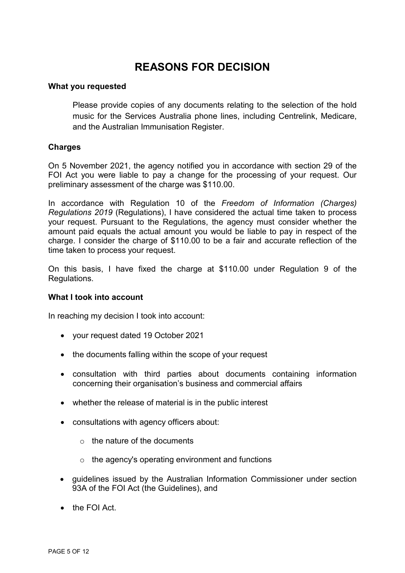# **REASONS FOR DECISION**

# **What you requested**

Please provide copies of any documents relating to the selection of the hold music for the Services Australia phone lines, including Centrelink, Medicare, and the Australian Immunisation Register.

# **Charges**

On 5 November 2021, the agency notified you in accordance with section 29 of the FOI Act you were liable to pay a change for the processing of your request. Our preliminary assessment of the charge was \$110.00.

In accordance with Regulation 10 of the *Freedom of Information (Charges) Regulations 2019* (Regulations), I have considered the actual time taken to process your request. Pursuant to the Regulations, the agency must consider whether the amount paid equals the actual amount you would be liable to pay in respect of the charge. I consider the charge of \$110.00 to be a fair and accurate reflection of the time taken to process your request.

On this basis, I have fixed the charge at \$110.00 under Regulation 9 of the Regulations.

## **What I took into account**

In reaching my decision I took into account:

- your request dated 19 October 2021
- the documents falling within the scope of your request
- consultation with third parties about documents containing information concerning their organisation's business and commercial affairs
- whether the release of material is in the public interest
- consultations with agency officers about:
	- o the nature of the documents
	- $\circ$  the agency's operating environment and functions
- guidelines issued by the Australian Information Commissioner under section 93A of the FOI Act (the Guidelines), and
- the FOI Act.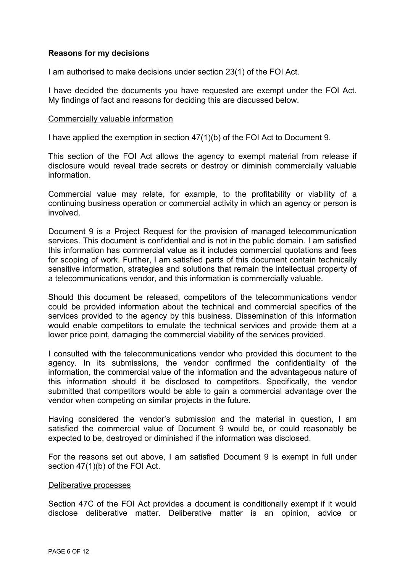# **Reasons for my decisions**

I am authorised to make decisions under section 23(1) of the FOI Act.

I have decided the documents you have requested are exempt under the FOI Act. My findings of fact and reasons for deciding this are discussed below.

## Commercially valuable information

I have applied the exemption in section 47(1)(b) of the FOI Act to Document 9.

This section of the FOI Act allows the agency to exempt material from release if disclosure would reveal trade secrets or destroy or diminish commercially valuable information.

Commercial value may relate, for example, to the profitability or viability of a continuing business operation or commercial activity in which an agency or person is involved.

Document 9 is a Project Request for the provision of managed telecommunication services. This document is confidential and is not in the public domain. I am satisfied this information has commercial value as it includes commercial quotations and fees for scoping of work. Further, I am satisfied parts of this document contain technically sensitive information, strategies and solutions that remain the intellectual property of a telecommunications vendor, and this information is commercially valuable.

Should this document be released, competitors of the telecommunications vendor could be provided information about the technical and commercial specifics of the services provided to the agency by this business. Dissemination of this information would enable competitors to emulate the technical services and provide them at a lower price point, damaging the commercial viability of the services provided.

I consulted with the telecommunications vendor who provided this document to the agency. In its submissions, the vendor confirmed the confidentiality of the information, the commercial value of the information and the advantageous nature of this information should it be disclosed to competitors. Specifically, the vendor submitted that competitors would be able to gain a commercial advantage over the vendor when competing on similar projects in the future.

Having considered the vendor's submission and the material in question, I am satisfied the commercial value of Document 9 would be, or could reasonably be expected to be, destroyed or diminished if the information was disclosed.

For the reasons set out above, I am satisfied Document 9 is exempt in full under section 47(1)(b) of the FOI Act.

## Deliberative processes

Section 47C of the FOI Act provides a document is conditionally exempt if it would disclose deliberative matter. Deliberative matter is an opinion, advice or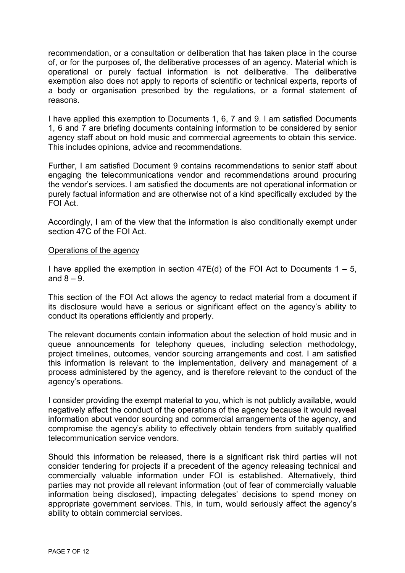recommendation, or a consultation or deliberation that has taken place in the course of, or for the purposes of, the deliberative processes of an agency. Material which is operational or purely factual information is not deliberative. The deliberative exemption also does not apply to reports of scientific or technical experts, reports of a body or organisation prescribed by the regulations, or a formal statement of reasons.

I have applied this exemption to Documents 1, 6, 7 and 9. I am satisfied Documents 1, 6 and 7 are briefing documents containing information to be considered by senior agency staff about on hold music and commercial agreements to obtain this service. This includes opinions, advice and recommendations.

Further, I am satisfied Document 9 contains recommendations to senior staff about engaging the telecommunications vendor and recommendations around procuring the vendor's services. I am satisfied the documents are not operational information or purely factual information and are otherwise not of a kind specifically excluded by the FOI Act.

Accordingly, I am of the view that the information is also conditionally exempt under section 47C of the FOI Act.

# Operations of the agency

I have applied the exemption in section  $47E(d)$  of the FOI Act to Documents  $1 - 5$ , and  $8 - 9$ .

This section of the FOI Act allows the agency to redact material from a document if its disclosure would have a serious or significant effect on the agency's ability to conduct its operations efficiently and properly.

The relevant documents contain information about the selection of hold music and in queue announcements for telephony queues, including selection methodology, project timelines, outcomes, vendor sourcing arrangements and cost. I am satisfied this information is relevant to the implementation, delivery and management of a process administered by the agency, and is therefore relevant to the conduct of the agency's operations.

I consider providing the exempt material to you, which is not publicly available, would negatively affect the conduct of the operations of the agency because it would reveal information about vendor sourcing and commercial arrangements of the agency, and compromise the agency's ability to effectively obtain tenders from suitably qualified telecommunication service vendors.

Should this information be released, there is a significant risk third parties will not consider tendering for projects if a precedent of the agency releasing technical and commercially valuable information under FOI is established. Alternatively, third parties may not provide all relevant information (out of fear of commercially valuable information being disclosed), impacting delegates' decisions to spend money on appropriate government services. This, in turn, would seriously affect the agency's ability to obtain commercial services.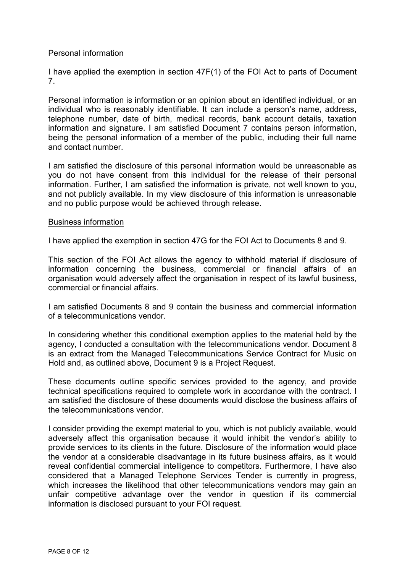# Personal information

I have applied the exemption in section 47F(1) of the FOI Act to parts of Document 7.

Personal information is information or an opinion about an identified individual, or an individual who is reasonably identifiable. It can include a person's name, address, telephone number, date of birth, medical records, bank account details, taxation information and signature. I am satisfied Document 7 contains person information, being the personal information of a member of the public, including their full name and contact number.

I am satisfied the disclosure of this personal information would be unreasonable as you do not have consent from this individual for the release of their personal information. Further, I am satisfied the information is private, not well known to you, and not publicly available. In my view disclosure of this information is unreasonable and no public purpose would be achieved through release.

# Business information

I have applied the exemption in section 47G for the FOI Act to Documents 8 and 9.

This section of the FOI Act allows the agency to withhold material if disclosure of information concerning the business, commercial or financial affairs of an organisation would adversely affect the organisation in respect of its lawful business, commercial or financial affairs.

I am satisfied Documents 8 and 9 contain the business and commercial information of a telecommunications vendor.

In considering whether this conditional exemption applies to the material held by the agency, I conducted a consultation with the telecommunications vendor. Document 8 is an extract from the Managed Telecommunications Service Contract for Music on Hold and, as outlined above, Document 9 is a Project Request.

These documents outline specific services provided to the agency, and provide technical specifications required to complete work in accordance with the contract. I am satisfied the disclosure of these documents would disclose the business affairs of the telecommunications vendor.

I consider providing the exempt material to you, which is not publicly available, would adversely affect this organisation because it would inhibit the vendor's ability to provide services to its clients in the future. Disclosure of the information would place the vendor at a considerable disadvantage in its future business affairs, as it would reveal confidential commercial intelligence to competitors. Furthermore, I have also considered that a Managed Telephone Services Tender is currently in progress, which increases the likelihood that other telecommunications vendors may gain an unfair competitive advantage over the vendor in question if its commercial information is disclosed pursuant to your FOI request.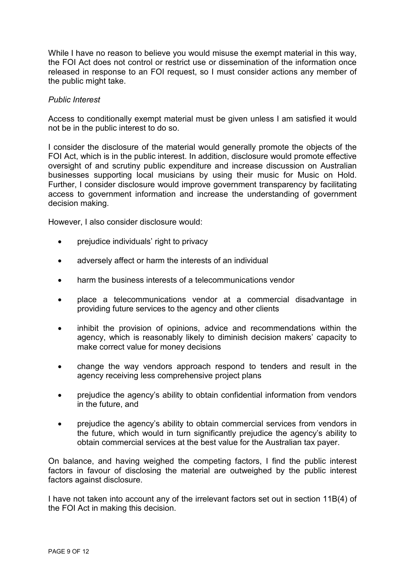While I have no reason to believe you would misuse the exempt material in this way, the FOI Act does not control or restrict use or dissemination of the information once released in response to an FOI request, so I must consider actions any member of the public might take.

# *Public Interest*

Access to conditionally exempt material must be given unless I am satisfied it would not be in the public interest to do so.

I consider the disclosure of the material would generally promote the objects of the FOI Act, which is in the public interest. In addition, disclosure would promote effective oversight of and scrutiny public expenditure and increase discussion on Australian businesses supporting local musicians by using their music for Music on Hold. Further, I consider disclosure would improve government transparency by facilitating access to government information and increase the understanding of government decision making.

However, I also consider disclosure would:

- prejudice individuals' right to privacy
- adversely affect or harm the interests of an individual
- harm the business interests of a telecommunications vendor
- place a telecommunications vendor at a commercial disadvantage in providing future services to the agency and other clients
- inhibit the provision of opinions, advice and recommendations within the agency, which is reasonably likely to diminish decision makers' capacity to make correct value for money decisions
- change the way vendors approach respond to tenders and result in the agency receiving less comprehensive project plans
- prejudice the agency's ability to obtain confidential information from vendors in the future, and
- prejudice the agency's ability to obtain commercial services from vendors in the future, which would in turn significantly prejudice the agency's ability to obtain commercial services at the best value for the Australian tax payer.

On balance, and having weighed the competing factors, I find the public interest factors in favour of disclosing the material are outweighed by the public interest factors against disclosure.

I have not taken into account any of the irrelevant factors set out in section 11B(4) of the FOI Act in making this decision.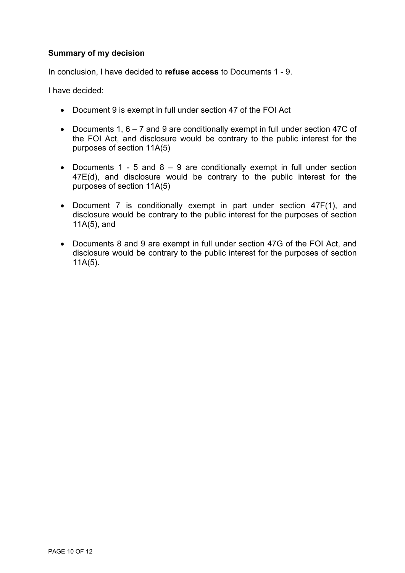# **Summary of my decision**

In conclusion, I have decided to **refuse access** to Documents 1 - 9.

I have decided:

- Document 9 is exempt in full under section 47 of the FOI Act
- Documents 1,  $6 7$  and 9 are conditionally exempt in full under section 47C of the FOI Act, and disclosure would be contrary to the public interest for the purposes of section 11A(5)
- Documents 1 5 and 8  $-$  9 are conditionally exempt in full under section 47E(d), and disclosure would be contrary to the public interest for the purposes of section 11A(5)
- Document 7 is conditionally exempt in part under section 47F(1), and disclosure would be contrary to the public interest for the purposes of section 11A(5), and
- Documents 8 and 9 are exempt in full under section 47G of the FOI Act, and disclosure would be contrary to the public interest for the purposes of section 11A(5).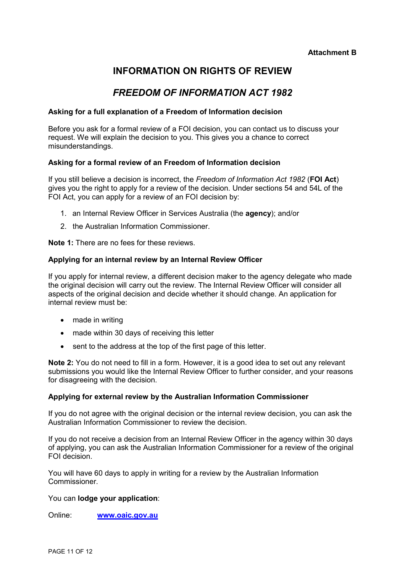# **INFORMATION ON RIGHTS OF REVIEW**

# *FREEDOM OF INFORMATION ACT 1982*

#### **Asking for a full explanation of a Freedom of Information decision**

Before you ask for a formal review of a FOI decision, you can contact us to discuss your request. We will explain the decision to you. This gives you a chance to correct misunderstandings.

## **Asking for a formal review of an Freedom of Information decision**

If you still believe a decision is incorrect, the *Freedom of Information Act 1982* (**FOI Act**) gives you the right to apply for a review of the decision. Under sections 54 and 54L of the FOI Act, you can apply for a review of an FOI decision by:

- 1. an Internal Review Officer in Services Australia (the **agency**); and/or
- 2. the Australian Information Commissioner.

**Note 1:** There are no fees for these reviews.

#### **Applying for an internal review by an Internal Review Officer**

If you apply for internal review, a different decision maker to the agency delegate who made the original decision will carry out the review. The Internal Review Officer will consider all aspects of the original decision and decide whether it should change. An application for internal review must be:

- made in writing
- made within 30 days of receiving this letter
- sent to the address at the top of the first page of this letter.

**Note 2:** You do not need to fill in a form. However, it is a good idea to set out any relevant submissions you would like the Internal Review Officer to further consider, and your reasons for disagreeing with the decision.

#### **Applying for external review by the Australian Information Commissioner**

If you do not agree with the original decision or the internal review decision, you can ask the Australian Information Commissioner to review the decision.

If you do not receive a decision from an Internal Review Officer in the agency within 30 days of applying, you can ask the Australian Information Commissioner for a review of the original FOI decision.

You will have 60 days to apply in writing for a review by the Australian Information **Commissioner** 

#### You can **lodge your application**:

Online: **[www.oaic.gov.au](http://www.oaic.gov.au/)**